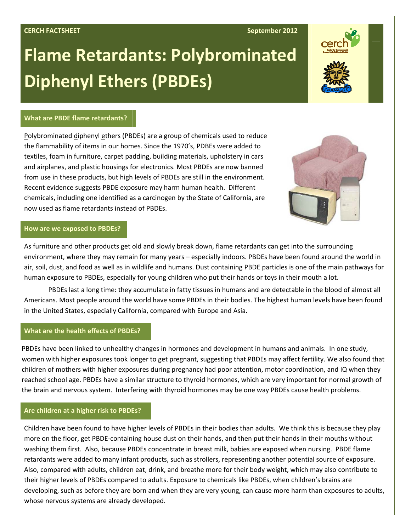# **CERCH FACTSHEET September 2012**

# **Flame Retardants: Polybrominated Diphenyl Ethers (PBDEs)**



### **What are PBDE flame retardants?**

Polybrominated diphenyl ethers (PBDEs) are a group of chemicals used to reduce the flammability of items in our homes. Since the 1970's, PDBEs were added to textiles, foam in furniture, carpet padding, building materials, upholstery in cars and airplanes, and plastic housings for electronics. Most PBDEs are now banned from use in these products, but high levels of PBDEs are still in the environment. Recent evidence suggests PBDE exposure may harm human health. Different chemicals, including one identified as a carcinogen by the State of California, are now used as flame retardants instead of PBDEs.



# **How are we exposed to PBDEs?**

As furniture and other products get old and slowly break down, flame retardants can get into the surrounding environment, where they may remain for many years – especially indoors. PBDEs have been found around the world in air, soil, dust, and food as well as in wildlife and humans. Dust containing PBDE particles is one of the main pathways for human exposure to PBDEs, especially for young children who put their hands or toys in their mouth a lot.

PBDEs last a long time: they accumulate in fatty tissues in humans and are detectable in the blood of almost all Americans. Most people around the world have some PBDEs in their bodies. The highest human levels have been found in the United States, especially California, compared with Europe and Asia**.** 

#### **What are the health effects of PBDEs?**

PBDEs have been linked to unhealthy changes in hormones and development in humans and animals. In one study, women with higher exposures took longer to get pregnant, suggesting that PBDEs may affect fertility. We also found that children of mothers with higher exposures during pregnancy had poor attention, motor coordination, and IQ when they reached school age. PBDEs have a similar structure to thyroid hormones, which are very important for normal growth of the brain and nervous system. Interfering with thyroid hormones may be one way PBDEs cause health problems.

# **Are children at a higher risk to PBDEs?**

Children have been found to have higher levels of PBDEs in their bodies than adults. We think this is because they play more on the floor, get PBDE‐containing house dust on their hands, and then put their hands in their mouths without washing them first. Also, because PBDEs concentrate in breast milk, babies are exposed when nursing. PBDE flame retardants were added to many infant products, such as strollers, representing another potential source of exposure. Also, compared with adults, children eat, drink, and breathe more for their body weight, which may also contribute to their higher levels of PBDEs compared to adults. Exposure to chemicals like PBDEs, when children's brains are developing, such as before they are born and when they are very young, can cause more harm than exposures to adults, whose nervous systems are already developed.